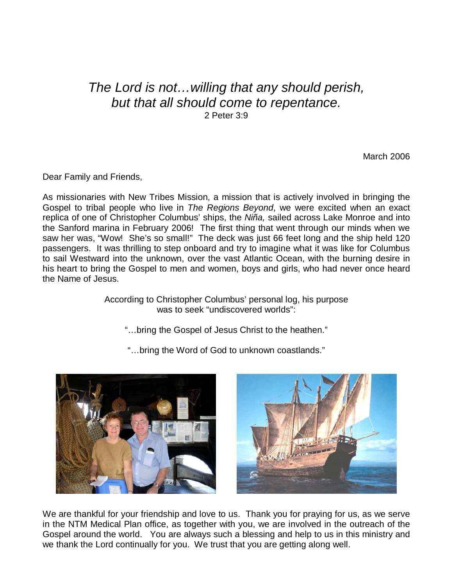## The Lord is not…willing that any should perish, but that all should come to repentance. 2 Peter 3:9

March 2006

Dear Family and Friends,

As missionaries with New Tribes Mission, a mission that is actively involved in bringing the Gospel to tribal people who live in The Regions Beyond, we were excited when an exact replica of one of Christopher Columbus' ships, the Niña, sailed across Lake Monroe and into the Sanford marina in February 2006! The first thing that went through our minds when we saw her was, "Wow! She's so small!" The deck was just 66 feet long and the ship held 120 passengers. It was thrilling to step onboard and try to imagine what it was like for Columbus to sail Westward into the unknown, over the vast Atlantic Ocean, with the burning desire in his heart to bring the Gospel to men and women, boys and girls, who had never once heard the Name of Jesus.

> According to Christopher Columbus' personal log, his purpose was to seek "undiscovered worlds":

"…bring the Gospel of Jesus Christ to the heathen."



"…bring the Word of God to unknown coastlands."



We are thankful for your friendship and love to us. Thank you for praying for us, as we serve in the NTM Medical Plan office, as together with you, we are involved in the outreach of the Gospel around the world. You are always such a blessing and help to us in this ministry and we thank the Lord continually for you. We trust that you are getting along well.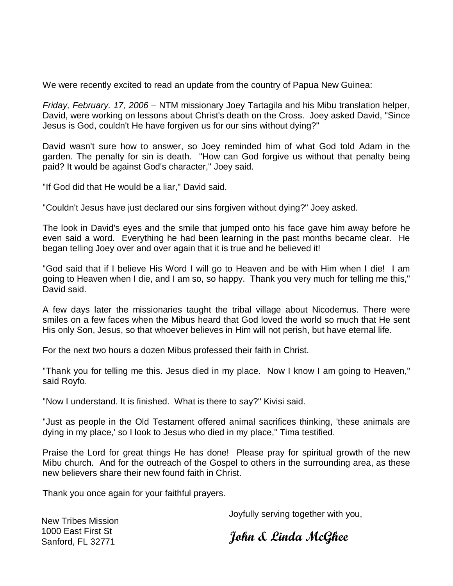We were recently excited to read an update from the country of Papua New Guinea:

Friday, February. 17, 2006 – NTM missionary Joey Tartagila and his Mibu translation helper, David, were working on lessons about Christ's death on the Cross. Joey asked David, "Since Jesus is God, couldn't He have forgiven us for our sins without dying?"

David wasn't sure how to answer, so Joey reminded him of what God told Adam in the garden. The penalty for sin is death. "How can God forgive us without that penalty being paid? It would be against God's character," Joey said.

"If God did that He would be a liar," David said.

"Couldn't Jesus have just declared our sins forgiven without dying?" Joey asked.

The look in David's eyes and the smile that jumped onto his face gave him away before he even said a word. Everything he had been learning in the past months became clear. He began telling Joey over and over again that it is true and he believed it!

"God said that if I believe His Word I will go to Heaven and be with Him when I die! I am going to Heaven when I die, and I am so, so happy. Thank you very much for telling me this," David said.

A few days later the missionaries taught the tribal village about Nicodemus. There were smiles on a few faces when the Mibus heard that God loved the world so much that He sent His only Son, Jesus, so that whoever believes in Him will not perish, but have eternal life.

For the next two hours a dozen Mibus professed their faith in Christ.

"Thank you for telling me this. Jesus died in my place. Now I know I am going to Heaven," said Royfo.

"Now I understand. It is finished. What is there to say?" Kivisi said.

"Just as people in the Old Testament offered animal sacrifices thinking, 'these animals are dying in my place,' so I look to Jesus who died in my place," Tima testified.

Praise the Lord for great things He has done! Please pray for spiritual growth of the new Mibu church. And for the outreach of the Gospel to others in the surrounding area, as these new believers share their new found faith in Christ.

Thank you once again for your faithful prayers.

Joyfully serving together with you,

New Tribes Mission 1000 East First St Sanford, FL 32771

John & Linda McGhee